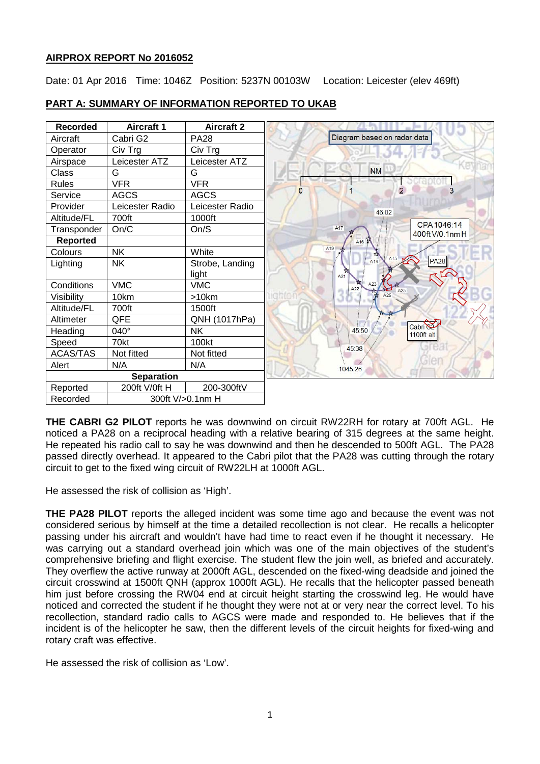## **AIRPROX REPORT No 2016052**

Date: 01 Apr 2016 Time: 1046Z Position: 5237N 00103W Location: Leicester (elev 469ft)



# **PART A: SUMMARY OF INFORMATION REPORTED TO UKAB**

**THE CABRI G2 PILOT** reports he was downwind on circuit RW22RH for rotary at 700ft AGL. He noticed a PA28 on a reciprocal heading with a relative bearing of 315 degrees at the same height. He repeated his radio call to say he was downwind and then he descended to 500ft AGL. The PA28 passed directly overhead. It appeared to the Cabri pilot that the PA28 was cutting through the rotary circuit to get to the fixed wing circuit of RW22LH at 1000ft AGL.

He assessed the risk of collision as 'High'.

**THE PA28 PILOT** reports the alleged incident was some time ago and because the event was not considered serious by himself at the time a detailed recollection is not clear. He recalls a helicopter passing under his aircraft and wouldn't have had time to react even if he thought it necessary. He was carrying out a standard overhead join which was one of the main objectives of the student's comprehensive briefing and flight exercise. The student flew the join well, as briefed and accurately. They overflew the active runway at 2000ft AGL, descended on the fixed-wing deadside and joined the circuit crosswind at 1500ft QNH (approx 1000ft AGL). He recalls that the helicopter passed beneath him just before crossing the RW04 end at circuit height starting the crosswind leg. He would have noticed and corrected the student if he thought they were not at or very near the correct level. To his recollection, standard radio calls to AGCS were made and responded to. He believes that if the incident is of the helicopter he saw, then the different levels of the circuit heights for fixed-wing and rotary craft was effective.

He assessed the risk of collision as 'Low'.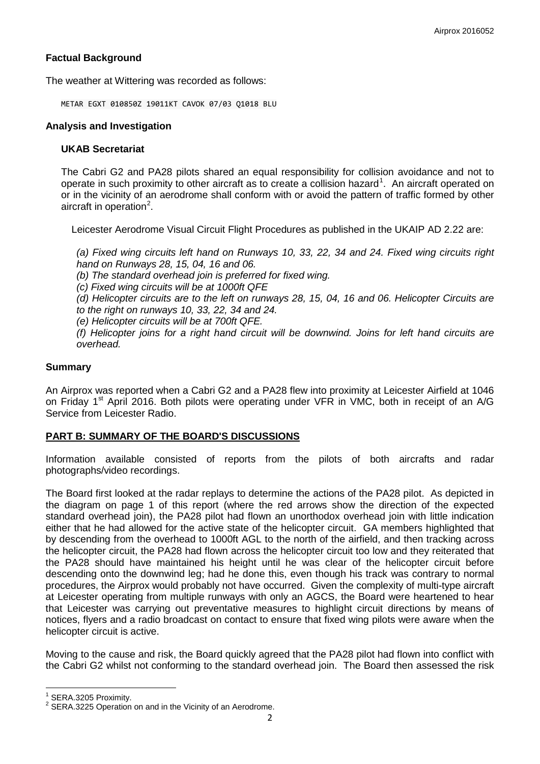# **Factual Background**

The weather at Wittering was recorded as follows:

METAR EGXT 010850Z 19011KT CAVOK 07/03 Q1018 BLU

## **Analysis and Investigation**

### **UKAB Secretariat**

The Cabri G2 and PA28 pilots shared an equal responsibility for collision avoidance and not to operate in such proximity to other aircraft as to create a collision hazard<sup>[1](#page-1-0)</sup>. An aircraft operated on or in the vicinity of an aerodrome shall conform with or avoid the pattern of traffic formed by other aircraft in operation<sup>[2](#page-1-1)</sup>.

Leicester Aerodrome Visual Circuit Flight Procedures as published in the UKAIP AD 2.22 are:

*(a) Fixed wing circuits left hand on Runways 10, 33, 22, 34 and 24. Fixed wing circuits right hand on Runways 28, 15, 04, 16 and 06.* 

*(b) The standard overhead join is preferred for fixed wing.* 

*(c) Fixed wing circuits will be at 1000ft QFE* 

*(d) Helicopter circuits are to the left on runways 28, 15, 04, 16 and 06. Helicopter Circuits are to the right on runways 10, 33, 22, 34 and 24.* 

*(e) Helicopter circuits will be at 700ft QFE.* 

*(f) Helicopter joins for a right hand circuit will be downwind. Joins for left hand circuits are overhead.*

### **Summary**

An Airprox was reported when a Cabri G2 and a PA28 flew into proximity at Leicester Airfield at 1046 on Friday 1<sup>st</sup> April 2016. Both pilots were operating under VFR in VMC, both in receipt of an A/G Service from Leicester Radio.

## **PART B: SUMMARY OF THE BOARD'S DISCUSSIONS**

Information available consisted of reports from the pilots of both aircrafts and radar photographs/video recordings.

The Board first looked at the radar replays to determine the actions of the PA28 pilot. As depicted in the diagram on page 1 of this report (where the red arrows show the direction of the expected standard overhead join), the PA28 pilot had flown an unorthodox overhead join with little indication either that he had allowed for the active state of the helicopter circuit. GA members highlighted that by descending from the overhead to 1000ft AGL to the north of the airfield, and then tracking across the helicopter circuit, the PA28 had flown across the helicopter circuit too low and they reiterated that the PA28 should have maintained his height until he was clear of the helicopter circuit before descending onto the downwind leg; had he done this, even though his track was contrary to normal procedures, the Airprox would probably not have occurred. Given the complexity of multi-type aircraft at Leicester operating from multiple runways with only an AGCS, the Board were heartened to hear that Leicester was carrying out preventative measures to highlight circuit directions by means of notices, flyers and a radio broadcast on contact to ensure that fixed wing pilots were aware when the helicopter circuit is active.

Moving to the cause and risk, the Board quickly agreed that the PA28 pilot had flown into conflict with the Cabri G2 whilst not conforming to the standard overhead join. The Board then assessed the risk

<span id="page-1-1"></span><span id="page-1-0"></span>

<sup>&</sup>lt;sup>1</sup> SERA.3205 Proximity.<br><sup>2</sup> SERA.3225 Operation on and in the Vicinity of an Aerodrome.